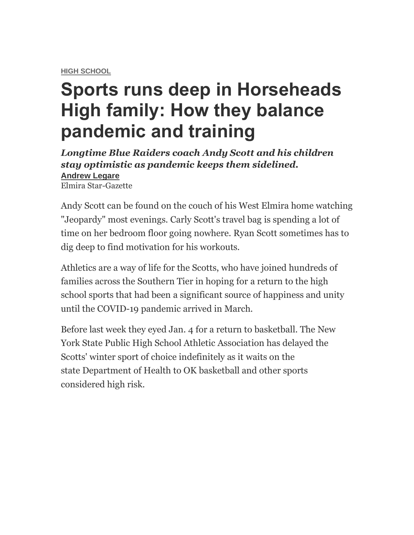**[HIGH SCHOOL](https://www.stargazette.com/sports/high-schools/)**

# **Sports runs deep in Horseheads High family: How they balance pandemic and training**

*Longtime Blue Raiders coach Andy Scott and his children stay optimistic as pandemic keeps them sidelined.* **[Andrew Legare](https://www.stargazette.com/staff/4395913002/andrew-legare/)** Elmira Star-Gazette

Andy Scott can be found on the couch of his West Elmira home watching "Jeopardy" most evenings. Carly Scott's travel bag is spending a lot of time on her bedroom floor going nowhere. Ryan Scott sometimes has to dig deep to find motivation for his workouts.

Athletics are a way of life for the Scotts, who have joined hundreds of families across the Southern Tier in hoping for a return to the high school sports that had been a significant source of happiness and unity until the COVID-19 pandemic arrived in March.

Before last week they eyed Jan. 4 for a return to basketball. The New York State Public High School Athletic Association has delayed the Scotts' winter sport of choice indefinitely as it waits on the state Department of Health to OK basketball and other sports considered high risk.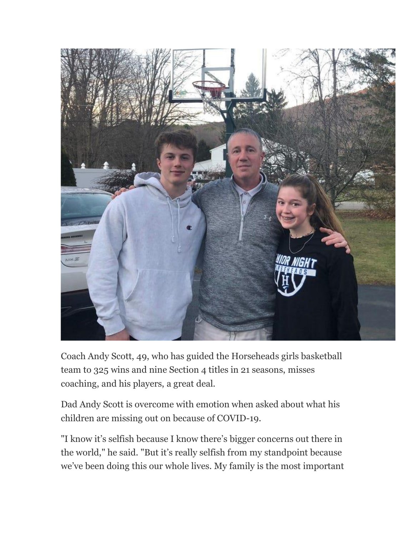

Coach Andy Scott, 49, who has guided the Horseheads girls basketball team to 325 wins and nine Section 4 titles in 21 seasons, misses coaching, and his players, a great deal.

Dad Andy Scott is overcome with emotion when asked about what his children are missing out on because of COVID-19.

"I know it's selfish because I know there's bigger concerns out there in the world," he said. "But it's really selfish from my standpoint because we've been doing this our whole lives. My family is the most important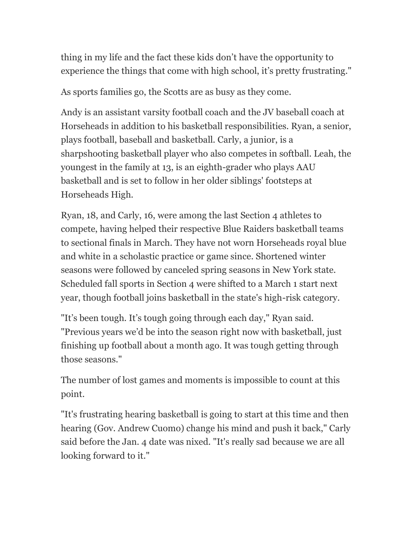thing in my life and the fact these kids don't have the opportunity to experience the things that come with high school, it's pretty frustrating."

As sports families go, the Scotts are as busy as they come.

Andy is an assistant varsity football coach and the JV baseball coach at Horseheads in addition to his basketball responsibilities. Ryan, a senior, plays football, baseball and basketball. Carly, a junior, is a sharpshooting basketball player who also competes in softball. Leah, the youngest in the family at 13, is an eighth-grader who plays AAU basketball and is set to follow in her older siblings' footsteps at Horseheads High.

Ryan, 18, and Carly, 16, were among the last Section 4 athletes to compete, having helped their respective Blue Raiders basketball teams to sectional finals in March. They have not worn Horseheads royal blue and white in a scholastic practice or game since. Shortened winter seasons were followed by canceled spring seasons in New York state. Scheduled fall sports in Section 4 were shifted to a March 1 start next year, though football joins basketball in the state's high-risk category.

"It's been tough. It's tough going through each day," Ryan said. "Previous years we'd be into the season right now with basketball, just finishing up football about a month ago. It was tough getting through those seasons."

The number of lost games and moments is impossible to count at this point.

"It's frustrating hearing basketball is going to start at this time and then hearing (Gov. Andrew Cuomo) change his mind and push it back," Carly said before the Jan. 4 date was nixed. "It's really sad because we are all looking forward to it."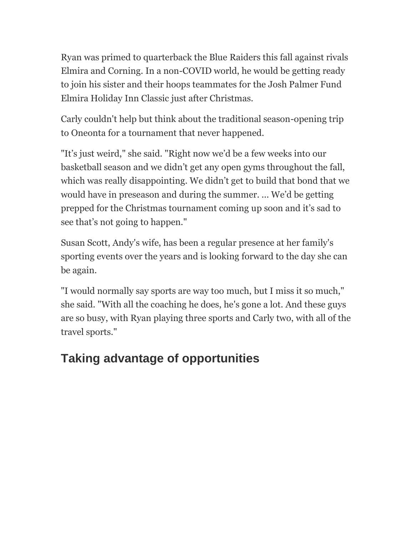Ryan was primed to quarterback the Blue Raiders this fall against rivals Elmira and Corning. In a non-COVID world, he would be getting ready to join his sister and their hoops teammates for the Josh Palmer Fund Elmira Holiday Inn Classic just after Christmas.

Carly couldn't help but think about the traditional season-opening trip to Oneonta for a tournament that never happened.

"It's just weird," she said. "Right now we'd be a few weeks into our basketball season and we didn't get any open gyms throughout the fall, which was really disappointing. We didn't get to build that bond that we would have in preseason and during the summer. ... We'd be getting prepped for the Christmas tournament coming up soon and it's sad to see that's not going to happen."

Susan Scott, Andy's wife, has been a regular presence at her family's sporting events over the years and is looking forward to the day she can be again.

"I would normally say sports are way too much, but I miss it so much," she said. "With all the coaching he does, he's gone a lot. And these guys are so busy, with Ryan playing three sports and Carly two, with all of the travel sports."

## **Taking advantage of opportunities**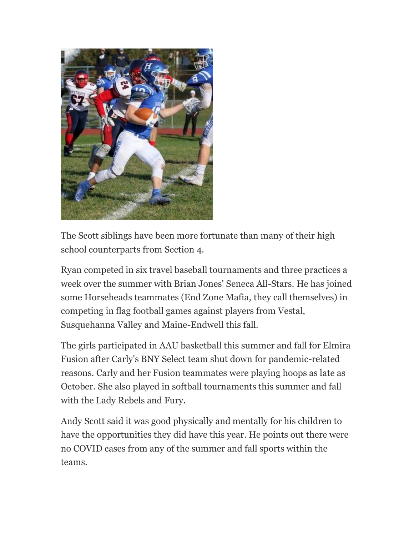

The Scott siblings have been more fortunate than many of their high school counterparts from Section 4.

Ryan competed in six travel baseball tournaments and three practices a week over the summer with Brian Jones' Seneca All-Stars. He has joined some Horseheads teammates (End Zone Mafia, they call themselves) in competing in flag football games against players from Vestal, Susquehanna Valley and Maine-Endwell this fall.

The girls participated in AAU basketball this summer and fall for Elmira Fusion after Carly's BNY Select team shut down for pandemic-related reasons. Carly and her Fusion teammates were playing hoops as late as October. She also played in softball tournaments this summer and fall with the Lady Rebels and Fury.

Andy Scott said it was good physically and mentally for his children to have the opportunities they did have this year. He points out there were no COVID cases from any of the summer and fall sports within the teams.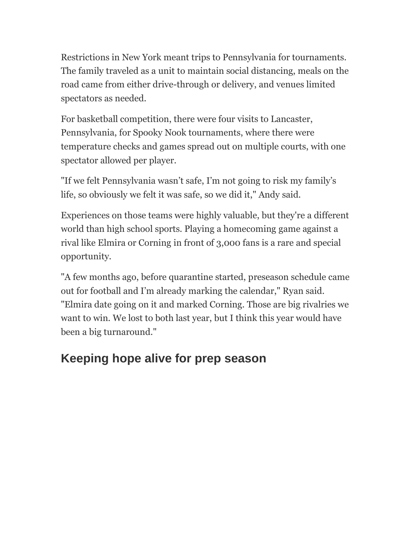Restrictions in New York meant trips to Pennsylvania for tournaments. The family traveled as a unit to maintain social distancing, meals on the road came from either drive-through or delivery, and venues limited spectators as needed.

For basketball competition, there were four visits to Lancaster, Pennsylvania, for Spooky Nook tournaments, where there were temperature checks and games spread out on multiple courts, with one spectator allowed per player.

"If we felt Pennsylvania wasn't safe, I'm not going to risk my family's life, so obviously we felt it was safe, so we did it," Andy said.

Experiences on those teams were highly valuable, but they're a different world than high school sports. Playing a homecoming game against a rival like Elmira or Corning in front of 3,000 fans is a rare and special opportunity.

"A few months ago, before quarantine started, preseason schedule came out for football and I'm already marking the calendar," Ryan said. "Elmira date going on it and marked Corning. Those are big rivalries we want to win. We lost to both last year, but I think this year would have been a big turnaround."

#### **Keeping hope alive for prep season**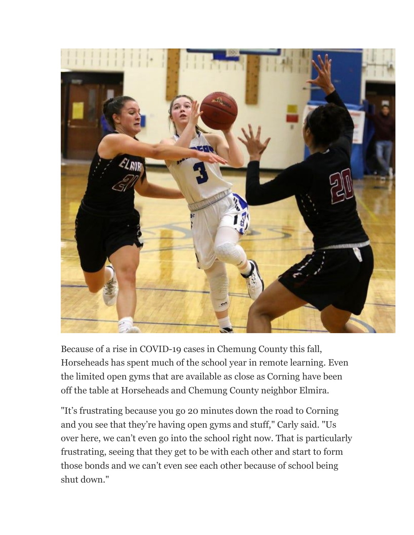

Because of a rise in COVID-19 cases in Chemung County this fall, Horseheads has spent much of the school year in remote learning. Even the limited open gyms that are available as close as Corning have been off the table at Horseheads and Chemung County neighbor Elmira.

"It's frustrating because you go 20 minutes down the road to Corning and you see that they're having open gyms and stuff," Carly said. "Us over here, we can't even go into the school right now. That is particularly frustrating, seeing that they get to be with each other and start to form those bonds and we can't even see each other because of school being shut down."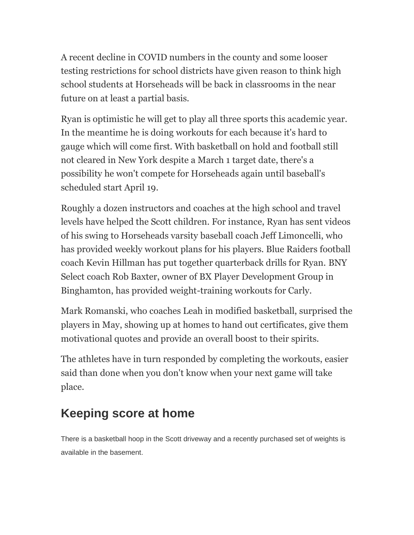A recent decline in COVID numbers in the county and some looser testing restrictions for school districts have given reason to think high school students at Horseheads will be back in classrooms in the near future on at least a partial basis.

Ryan is optimistic he will get to play all three sports this academic year. In the meantime he is doing workouts for each because it's hard to gauge which will come first. With basketball on hold and football still not cleared in New York despite a March 1 target date, there's a possibility he won't compete for Horseheads again until baseball's scheduled start April 19.

Roughly a dozen instructors and coaches at the high school and travel levels have helped the Scott children. For instance, Ryan has sent videos of his swing to Horseheads varsity baseball coach Jeff Limoncelli, who has provided weekly workout plans for his players. Blue Raiders football coach Kevin Hillman has put together quarterback drills for Ryan. BNY Select coach Rob Baxter, owner of BX Player Development Group in Binghamton, has provided weight-training workouts for Carly.

Mark Romanski, who coaches Leah in modified basketball, surprised the players in May, showing up at homes to hand out certificates, give them motivational quotes and provide an overall boost to their spirits.

The athletes have in turn responded by completing the workouts, easier said than done when you don't know when your next game will take place.

### **Keeping score at home**

There is a basketball hoop in the Scott driveway and a recently purchased set of weights is available in the basement.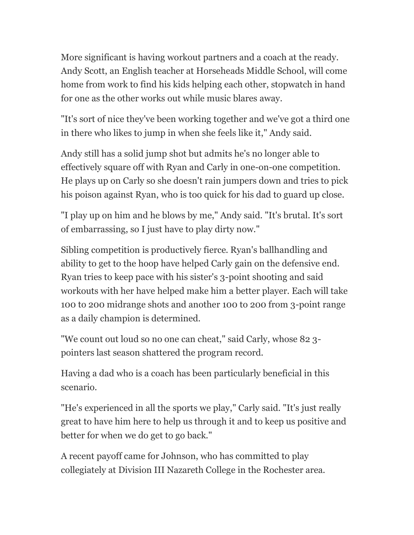More significant is having workout partners and a coach at the ready. Andy Scott, an English teacher at Horseheads Middle School, will come home from work to find his kids helping each other, stopwatch in hand for one as the other works out while music blares away.

"It's sort of nice they've been working together and we've got a third one in there who likes to jump in when she feels like it," Andy said.

Andy still has a solid jump shot but admits he's no longer able to effectively square off with Ryan and Carly in one-on-one competition. He plays up on Carly so she doesn't rain jumpers down and tries to pick his poison against Ryan, who is too quick for his dad to guard up close.

"I play up on him and he blows by me," Andy said. "It's brutal. It's sort of embarrassing, so I just have to play dirty now."

Sibling competition is productively fierce. Ryan's ballhandling and ability to get to the hoop have helped Carly gain on the defensive end. Ryan tries to keep pace with his sister's 3-point shooting and said workouts with her have helped make him a better player. Each will take 100 to 200 midrange shots and another 100 to 200 from 3-point range as a daily champion is determined.

"We count out loud so no one can cheat," said Carly, whose 82 3 pointers last season shattered the program record.

Having a dad who is a coach has been particularly beneficial in this scenario.

"He's experienced in all the sports we play," Carly said. "It's just really great to have him here to help us through it and to keep us positive and better for when we do get to go back."

A recent payoff came for Johnson, who has committed to play collegiately at Division III Nazareth College in the Rochester area.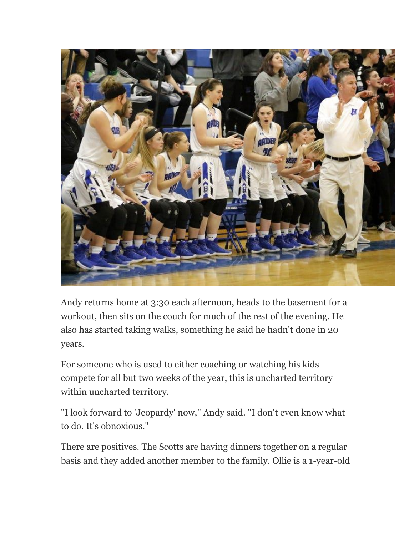

Andy returns home at 3:30 each afternoon, heads to the basement for a workout, then sits on the couch for much of the rest of the evening. He also has started taking walks, something he said he hadn't done in 20 years.

For someone who is used to either coaching or watching his kids compete for all but two weeks of the year, this is uncharted territory within uncharted territory.

"I look forward to 'Jeopardy' now," Andy said. "I don't even know what to do. It's obnoxious."

There are positives. The Scotts are having dinners together on a regular basis and they added another member to the family. Ollie is a 1-year-old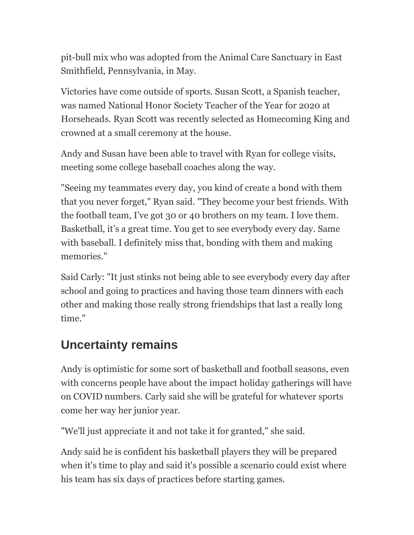pit-bull mix who was adopted from the Animal Care Sanctuary in East Smithfield, Pennsylvania, in May.

Victories have come outside of sports. Susan Scott, a Spanish teacher, was named National Honor Society Teacher of the Year for 2020 at Horseheads. Ryan Scott was recently selected as Homecoming King and crowned at a small ceremony at the house.

Andy and Susan have been able to travel with Ryan for college visits, meeting some college baseball coaches along the way.

"Seeing my teammates every day, you kind of create a bond with them that you never forget," Ryan said. "They become your best friends. With the football team, I've got 30 or 40 brothers on my team. I love them. Basketball, it's a great time. You get to see everybody every day. Same with baseball. I definitely miss that, bonding with them and making memories."

Said Carly: "It just stinks not being able to see everybody every day after school and going to practices and having those team dinners with each other and making those really strong friendships that last a really long time."

#### **Uncertainty remains**

Andy is optimistic for some sort of basketball and football seasons, even with concerns people have about the impact holiday gatherings will have on COVID numbers. Carly said she will be grateful for whatever sports come her way her junior year.

"We'll just appreciate it and not take it for granted," she said.

Andy said he is confident his basketball players they will be prepared when it's time to play and said it's possible a scenario could exist where his team has six days of practices before starting games.